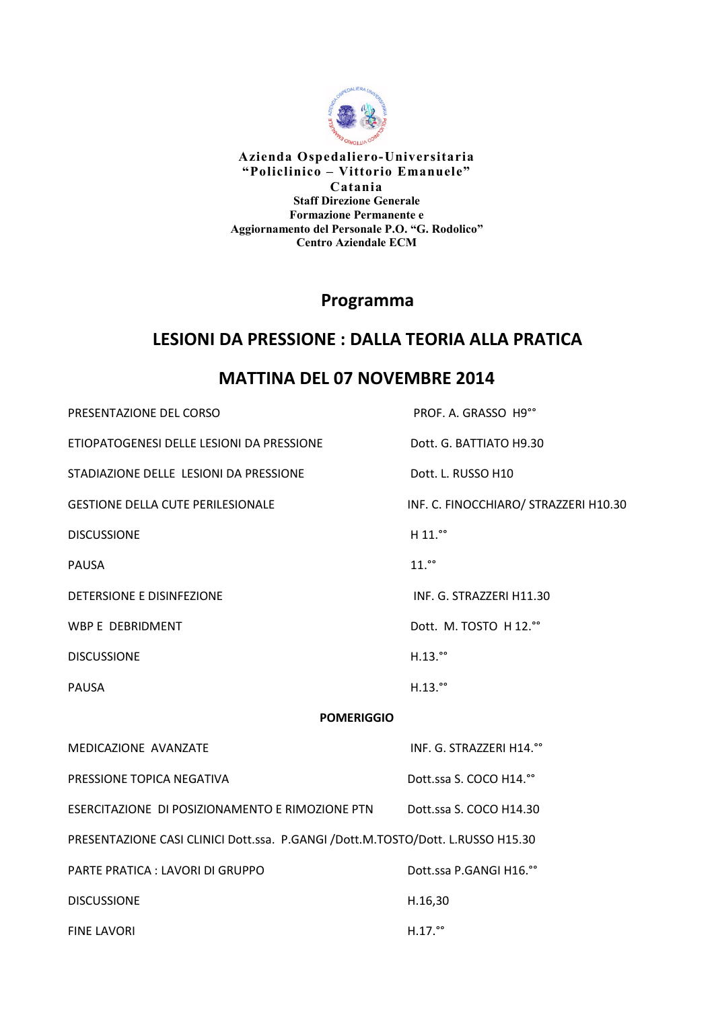

**Azienda Ospedaliero-Universitaria "Policlinico – Vittorio Emanuele" Catania Staff Direzione Generale Formazione Permanente e Aggiornamento del Personale P.O. "G. Rodolico" Centro Aziendale ECM** 

### **Programma**

## **LESIONI DA PRESSIONE : DALLA TEORIA ALLA PRATICA**

# **MATTINA DEL 07 NOVEMBRE 2014**

| PRESENTAZIONE DEL CORSO                                                         | PROF. A. GRASSO H9°°                  |
|---------------------------------------------------------------------------------|---------------------------------------|
| ETIOPATOGENESI DELLE LESIONI DA PRESSIONE                                       | Dott. G. BATTIATO H9.30               |
| STADIAZIONE DELLE LESIONI DA PRESSIONE                                          | Dott. L. RUSSO H10                    |
| <b>GESTIONE DELLA CUTE PERILESIONALE</b>                                        | INF. C. FINOCCHIARO/ STRAZZERI H10.30 |
| <b>DISCUSSIONE</b>                                                              | H 11.00                               |
| <b>PAUSA</b>                                                                    | $11.$ <sup>oo</sup>                   |
| DETERSIONE E DISINFEZIONE                                                       | INF. G. STRAZZERI H11.30              |
| WBP E DEBRIDMENT                                                                | Dott. M. TOSTO H 12.º°                |
| <b>DISCUSSIONE</b>                                                              | $H.13.$ <sup>00</sup>                 |
| <b>PAUSA</b>                                                                    | $H.13.$ <sup>oo</sup>                 |
| <b>POMERIGGIO</b>                                                               |                                       |
| MEDICAZIONE AVANZATE                                                            | INF. G. STRAZZERI H14.º°              |
| PRESSIONE TOPICA NEGATIVA                                                       | Dott.ssa S. COCO H14.°°               |
| ESERCITAZIONE DI POSIZIONAMENTO E RIMOZIONE PTN                                 | Dott.ssa S. COCO H14.30               |
| PRESENTAZIONE CASI CLINICI Dott.ssa. P.GANGI /Dott.M.TOSTO/Dott. L.RUSSO H15.30 |                                       |
| PARTE PRATICA : LAVORI DI GRUPPO                                                | Dott.ssa P.GANGI H16.°°               |
| <b>DISCUSSIONE</b>                                                              | H.16,30                               |
| <b>FINE LAVORI</b>                                                              | $H.17.$ <sup>oo</sup>                 |